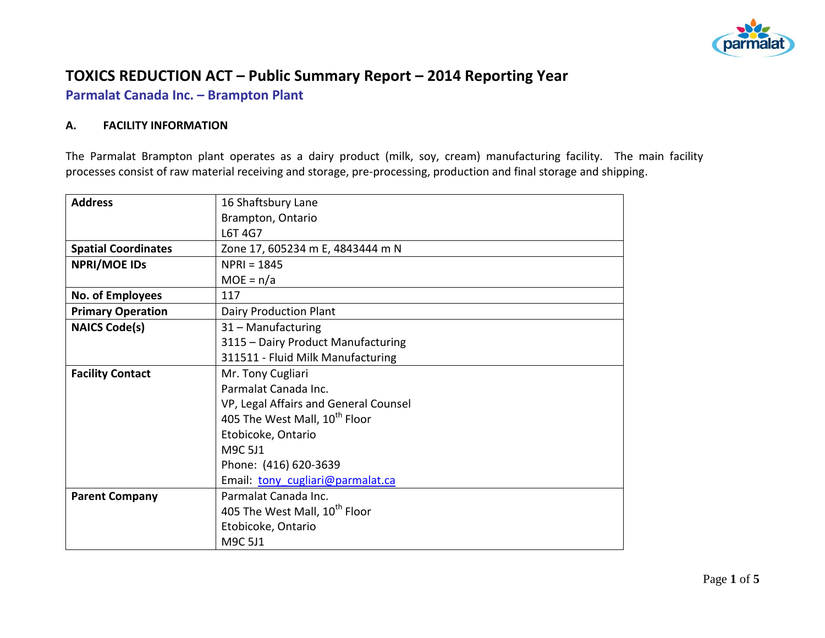

# **TOXICS REDUCTION ACT – Public Summary Report – 2014 Reporting Year**

**Parmalat Canada Inc. – Brampton Plant**

### **A. FACILITY INFORMATION**

The Parmalat Brampton plant operates as a dairy product (milk, soy, cream) manufacturing facility. The main facility processes consist of raw material receiving and storage, pre-processing, production and final storage and shipping.

| <b>Address</b>             | 16 Shaftsbury Lane                        |  |  |  |
|----------------------------|-------------------------------------------|--|--|--|
|                            | Brampton, Ontario                         |  |  |  |
|                            | L6T 4G7                                   |  |  |  |
| <b>Spatial Coordinates</b> | Zone 17, 605234 m E, 4843444 m N          |  |  |  |
| <b>NPRI/MOE IDS</b>        | $NPRI = 1845$                             |  |  |  |
|                            | $MOE = n/a$                               |  |  |  |
| No. of Employees           | 117                                       |  |  |  |
| <b>Primary Operation</b>   | Dairy Production Plant                    |  |  |  |
| <b>NAICS Code(s)</b>       | 31 - Manufacturing                        |  |  |  |
|                            | 3115 - Dairy Product Manufacturing        |  |  |  |
|                            | 311511 - Fluid Milk Manufacturing         |  |  |  |
| <b>Facility Contact</b>    | Mr. Tony Cugliari                         |  |  |  |
|                            | Parmalat Canada Inc.                      |  |  |  |
|                            | VP, Legal Affairs and General Counsel     |  |  |  |
|                            | 405 The West Mall, 10 <sup>th</sup> Floor |  |  |  |
|                            | Etobicoke, Ontario                        |  |  |  |
|                            | M9C 5J1                                   |  |  |  |
|                            | Phone: (416) 620-3639                     |  |  |  |
|                            | Email: tony cugliari@parmalat.ca          |  |  |  |
| <b>Parent Company</b>      | Parmalat Canada Inc.                      |  |  |  |
|                            | 405 The West Mall, 10 <sup>th</sup> Floor |  |  |  |
|                            | Etobicoke, Ontario                        |  |  |  |
|                            | M9C 5J1                                   |  |  |  |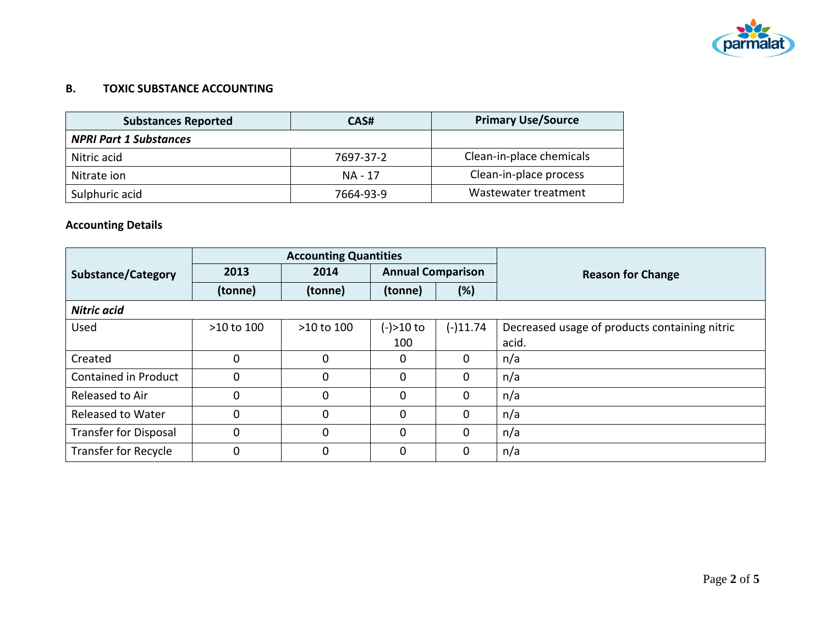

### **B. TOXIC SUBSTANCE ACCOUNTING**

| <b>Substances Reported</b>    | CAS#      | <b>Primary Use/Source</b> |
|-------------------------------|-----------|---------------------------|
| <b>NPRI Part 1 Substances</b> |           |                           |
| Nitric acid                   | 7697-37-2 | Clean-in-place chemicals  |
| Nitrate ion                   | NA - 17   | Clean-in-place process    |
| Sulphuric acid                | 7664-93-9 | Wastewater treatment      |

# **Accounting Details**

|                              | <b>Accounting Quantities</b> |            |                          |             |                                               |
|------------------------------|------------------------------|------------|--------------------------|-------------|-----------------------------------------------|
| <b>Substance/Category</b>    | 2013                         | 2014       | <b>Annual Comparison</b> |             | <b>Reason for Change</b>                      |
|                              | (tonne)                      | (tonne)    | (tonne)                  | (%)         |                                               |
| <b>Nitric acid</b>           |                              |            |                          |             |                                               |
| Used                         | >10 to 100                   | >10 to 100 | $(-) > 10$ to            | $(-)11.74$  | Decreased usage of products containing nitric |
|                              |                              |            | 100                      |             | acid.                                         |
| Created                      | 0                            | $\Omega$   | $\mathbf{0}$             | $\Omega$    | n/a                                           |
| Contained in Product         | $\Omega$                     | $\Omega$   | $\Omega$                 | $\Omega$    | n/a                                           |
| Released to Air              | 0                            | 0          | 0                        | $\mathbf 0$ | n/a                                           |
| <b>Released to Water</b>     | 0                            | $\Omega$   | 0                        | $\mathbf 0$ | n/a                                           |
| <b>Transfer for Disposal</b> | 0                            | $\Omega$   | 0                        | $\mathbf 0$ | n/a                                           |
| Transfer for Recycle         | 0                            | $\Omega$   | $\mathbf 0$              | $\mathbf 0$ | n/a                                           |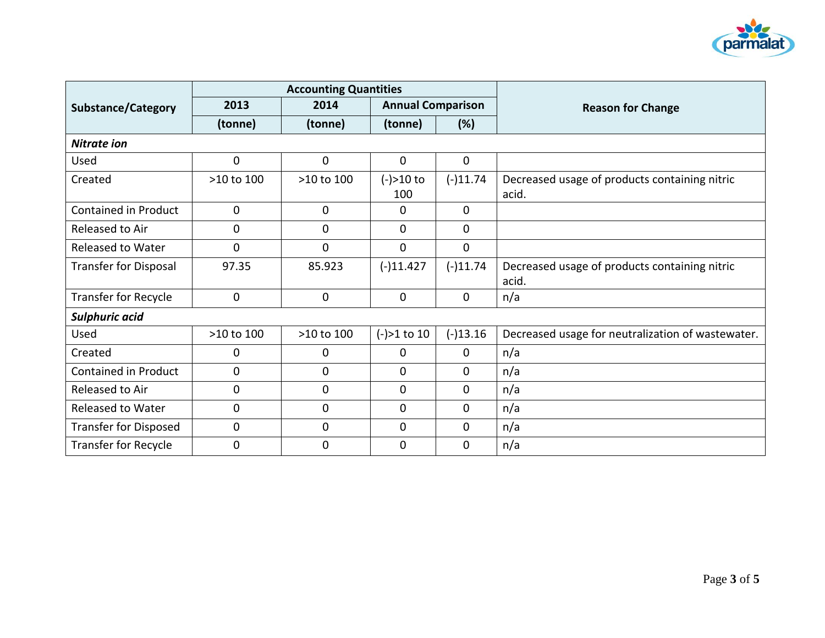

|                              | <b>Accounting Quantities</b> |                |                          |              |                                                        |
|------------------------------|------------------------------|----------------|--------------------------|--------------|--------------------------------------------------------|
| <b>Substance/Category</b>    | 2013                         | 2014           | <b>Annual Comparison</b> |              | <b>Reason for Change</b>                               |
|                              | (tonne)                      | (tonne)        | (tonne)                  | (%)          |                                                        |
| <b>Nitrate ion</b>           |                              |                |                          |              |                                                        |
| Used                         | $\overline{0}$               | $\mathbf{0}$   | $\mathbf{0}$             | $\mathbf 0$  |                                                        |
| Created                      | >10 to 100                   | >10 to 100     | $(-) > 10$ to<br>100     | $(-)11.74$   | Decreased usage of products containing nitric<br>acid. |
| <b>Contained in Product</b>  | 0                            | $\overline{0}$ | 0                        | $\mathbf 0$  |                                                        |
| Released to Air              | 0                            | $\overline{0}$ | $\mathbf{0}$             | 0            |                                                        |
| Released to Water            | $\overline{0}$               | $\Omega$       | $\Omega$                 | $\mathbf{0}$ |                                                        |
| <b>Transfer for Disposal</b> | 97.35                        | 85.923         | $(-)11.427$              | $(-)11.74$   | Decreased usage of products containing nitric<br>acid. |
| <b>Transfer for Recycle</b>  | 0                            | $\mathbf 0$    | $\mathbf{0}$             | $\mathbf 0$  | n/a                                                    |
| Sulphuric acid               |                              |                |                          |              |                                                        |
| Used                         | >10 to 100                   | >10 to 100     | $(-) > 1$ to 10          | $(-)13.16$   | Decreased usage for neutralization of wastewater.      |
| Created                      | 0                            | 0              | 0                        | 0            | n/a                                                    |
| <b>Contained in Product</b>  | 0                            | 0              | $\mathbf{0}$             | $\mathbf{0}$ | n/a                                                    |
| Released to Air              | 0                            | $\overline{0}$ | 0                        | 0            | n/a                                                    |
| <b>Released to Water</b>     | 0                            | $\mathbf 0$    | 0                        | 0            | n/a                                                    |
| <b>Transfer for Disposed</b> | 0                            | $\mathbf 0$    | 0                        | $\mathbf 0$  | n/a                                                    |
| <b>Transfer for Recycle</b>  | 0                            | 0              | 0                        | 0            | n/a                                                    |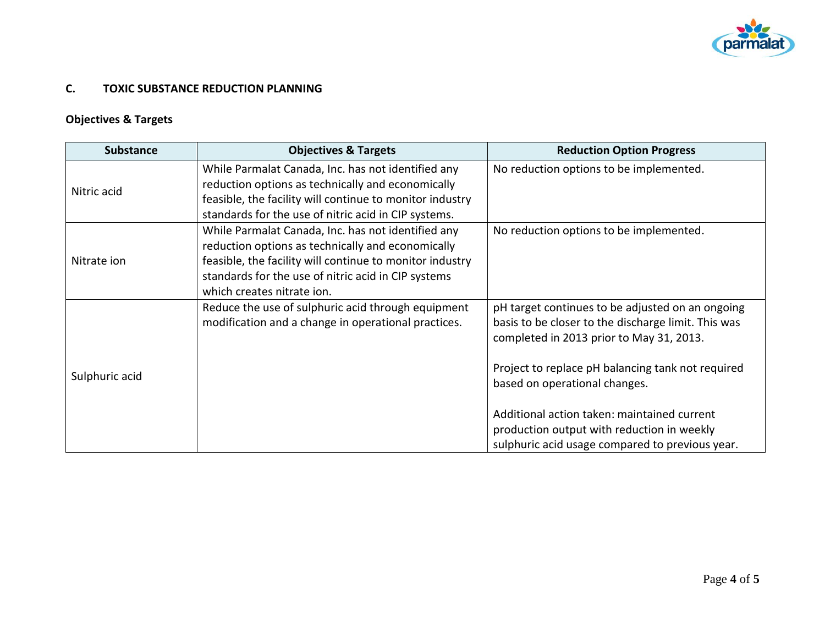

## **C. TOXIC SUBSTANCE REDUCTION PLANNING**

# **Objectives & Targets**

| <b>Substance</b> | <b>Objectives &amp; Targets</b>                                                                                                                                                                                                                          | <b>Reduction Option Progress</b>                                                                                                                                                                                                          |
|------------------|----------------------------------------------------------------------------------------------------------------------------------------------------------------------------------------------------------------------------------------------------------|-------------------------------------------------------------------------------------------------------------------------------------------------------------------------------------------------------------------------------------------|
| Nitric acid      | While Parmalat Canada, Inc. has not identified any<br>reduction options as technically and economically<br>feasible, the facility will continue to monitor industry<br>standards for the use of nitric acid in CIP systems.                              | No reduction options to be implemented.                                                                                                                                                                                                   |
| Nitrate ion      | While Parmalat Canada, Inc. has not identified any<br>reduction options as technically and economically<br>feasible, the facility will continue to monitor industry<br>standards for the use of nitric acid in CIP systems<br>which creates nitrate ion. | No reduction options to be implemented.                                                                                                                                                                                                   |
| Sulphuric acid   | Reduce the use of sulphuric acid through equipment<br>modification and a change in operational practices.                                                                                                                                                | pH target continues to be adjusted on an ongoing<br>basis to be closer to the discharge limit. This was<br>completed in 2013 prior to May 31, 2013.<br>Project to replace pH balancing tank not required<br>based on operational changes. |
|                  |                                                                                                                                                                                                                                                          | Additional action taken: maintained current<br>production output with reduction in weekly<br>sulphuric acid usage compared to previous year.                                                                                              |